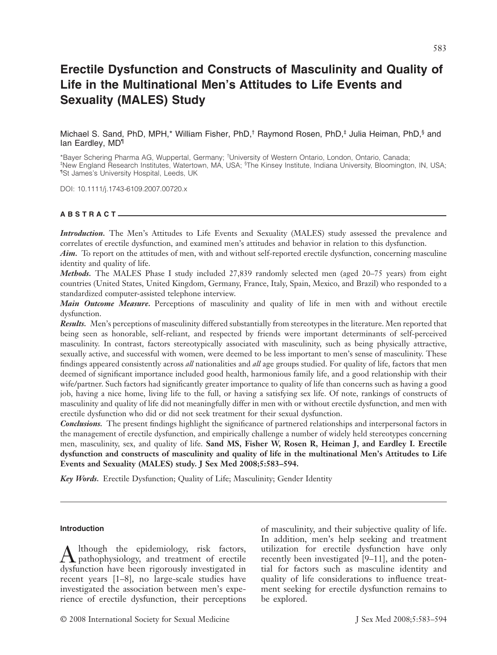# **Erectile Dysfunction and Constructs of Masculinity and Quality of Life in the Multinational Men's Attitudes to Life Events and Sexuality (MALES) Study**

Michael S. Sand, PhD, MPH,\* William Fisher, PhD,† Raymond Rosen, PhD,‡ Julia Heiman, PhD,§ and lan Eardley, MD<sup>1</sup>

\*Bayer Schering Pharma AG, Wuppertal, Germany; † University of Western Ontario, London, Ontario, Canada; <sup>‡</sup>New England Research Institutes, Watertown, MA, USA; <sup>s</sup>The Kinsey Institute, Indiana University, Bloomington, IN, USA; ¶St James's University Hospital, Leeds, UK

DOI: 10.1111/j.1743-6109.2007.00720.x

#### **ABSTRACT**

*Introduction*. The Men's Attitudes to Life Events and Sexuality (MALES) study assessed the prevalence and correlates of erectile dysfunction, and examined men's attitudes and behavior in relation to this dysfunction.

*Aim.* To report on the attitudes of men, with and without self-reported erectile dysfunction, concerning masculine identity and quality of life.

*Methods.* The MALES Phase I study included 27,839 randomly selected men (aged 20–75 years) from eight countries (United States, United Kingdom, Germany, France, Italy, Spain, Mexico, and Brazil) who responded to a standardized computer-assisted telephone interview.

*Main Outcome Measure.* Perceptions of masculinity and quality of life in men with and without erectile dysfunction.

*Results.* Men's perceptions of masculinity differed substantially from stereotypes in the literature. Men reported that being seen as honorable, self-reliant, and respected by friends were important determinants of self-perceived masculinity. In contrast, factors stereotypically associated with masculinity, such as being physically attractive, sexually active, and successful with women, were deemed to be less important to men's sense of masculinity. These findings appeared consistently across *all* nationalities and *all* age groups studied. For quality of life, factors that men deemed of significant importance included good health, harmonious family life, and a good relationship with their wife/partner. Such factors had significantly greater importance to quality of life than concerns such as having a good job, having a nice home, living life to the full, or having a satisfying sex life. Of note, rankings of constructs of masculinity and quality of life did not meaningfully differ in men with or without erectile dysfunction, and men with erectile dysfunction who did or did not seek treatment for their sexual dysfunction.

*Conclusions.* The present findings highlight the significance of partnered relationships and interpersonal factors in the management of erectile dysfunction, and empirically challenge a number of widely held stereotypes concerning men, masculinity, sex, and quality of life. **Sand MS, Fisher W, Rosen R, Heiman J, and Eardley I. Erectile dysfunction and constructs of masculinity and quality of life in the multinational Men's Attitudes to Life Events and Sexuality (MALES) study. J Sex Med 2008;5:583–594.**

*Key Words.* Erectile Dysfunction; Quality of Life; Masculinity; Gender Identity

#### **Introduction**

A lthough the epidemiology, risk factors,<br>pathophysiology, and treatment of erectile<br>dysfunction have been rippeously investigated in dysfunction have been rigorously investigated in recent years [1–8], no large-scale studies have investigated the association between men's experience of erectile dysfunction, their perceptions of masculinity, and their subjective quality of life. In addition, men's help seeking and treatment utilization for erectile dysfunction have only recently been investigated [9–11], and the potential for factors such as masculine identity and quality of life considerations to influence treatment seeking for erectile dysfunction remains to be explored.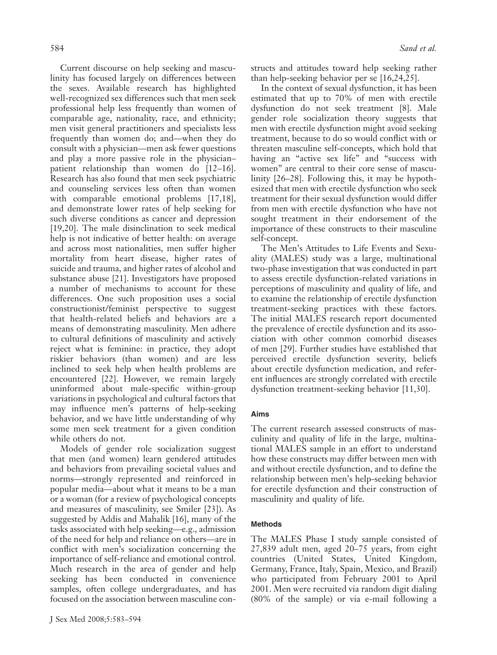Current discourse on help seeking and masculinity has focused largely on differences between the sexes. Available research has highlighted well-recognized sex differences such that men seek professional help less frequently than women of comparable age, nationality, race, and ethnicity; men visit general practitioners and specialists less frequently than women do; and—when they do consult with a physician—men ask fewer questions and play a more passive role in the physician– patient relationship than women do [12–16]. Research has also found that men seek psychiatric and counseling services less often than women with comparable emotional problems [17,18], and demonstrate lower rates of help seeking for such diverse conditions as cancer and depression [19,20]. The male disinclination to seek medical help is not indicative of better health: on average and across most nationalities, men suffer higher mortality from heart disease, higher rates of suicide and trauma, and higher rates of alcohol and substance abuse [21]. Investigators have proposed a number of mechanisms to account for these differences. One such proposition uses a social constructionist/feminist perspective to suggest that health-related beliefs and behaviors are a means of demonstrating masculinity. Men adhere to cultural definitions of masculinity and actively reject what is feminine: in practice, they adopt riskier behaviors (than women) and are less inclined to seek help when health problems are encountered [22]. However, we remain largely uninformed about male-specific within-group variations in psychological and cultural factors that may influence men's patterns of help-seeking behavior, and we have little understanding of why some men seek treatment for a given condition while others do not.

Models of gender role socialization suggest that men (and women) learn gendered attitudes and behaviors from prevailing societal values and norms—strongly represented and reinforced in popular media—about what it means to be a man or a woman (for a review of psychological concepts and measures of masculinity, see Smiler [23]). As suggested by Addis and Mahalik [16], many of the tasks associated with help seeking—e.g., admission of the need for help and reliance on others—are in conflict with men's socialization concerning the importance of self-reliance and emotional control. Much research in the area of gender and help seeking has been conducted in convenience samples, often college undergraduates, and has focused on the association between masculine constructs and attitudes toward help seeking rather than help-seeking behavior per se [16,24,25].

In the context of sexual dysfunction, it has been estimated that up to 70% of men with erectile dysfunction do not seek treatment [8]. Male gender role socialization theory suggests that men with erectile dysfunction might avoid seeking treatment, because to do so would conflict with or threaten masculine self-concepts, which hold that having an "active sex life" and "success with women" are central to their core sense of masculinity [26–28]. Following this, it may be hypothesized that men with erectile dysfunction who seek treatment for their sexual dysfunction would differ from men with erectile dysfunction who have not sought treatment in their endorsement of the importance of these constructs to their masculine self-concept.

The Men's Attitudes to Life Events and Sexuality (MALES) study was a large, multinational two-phase investigation that was conducted in part to assess erectile dysfunction-related variations in perceptions of masculinity and quality of life, and to examine the relationship of erectile dysfunction treatment-seeking practices with these factors. The initial MALES research report documented the prevalence of erectile dysfunction and its association with other common comorbid diseases of men [29]. Further studies have established that perceived erectile dysfunction severity, beliefs about erectile dysfunction medication, and referent influences are strongly correlated with erectile dysfunction treatment-seeking behavior [11,30].

### **Aims**

The current research assessed constructs of masculinity and quality of life in the large, multinational MALES sample in an effort to understand how these constructs may differ between men with and without erectile dysfunction, and to define the relationship between men's help-seeking behavior for erectile dysfunction and their construction of masculinity and quality of life.

### **Methods**

The MALES Phase I study sample consisted of 27,839 adult men, aged 20–75 years, from eight countries (United States, United Kingdom, Germany, France, Italy, Spain, Mexico, and Brazil) who participated from February 2001 to April 2001. Men were recruited via random digit dialing (80% of the sample) or via e-mail following a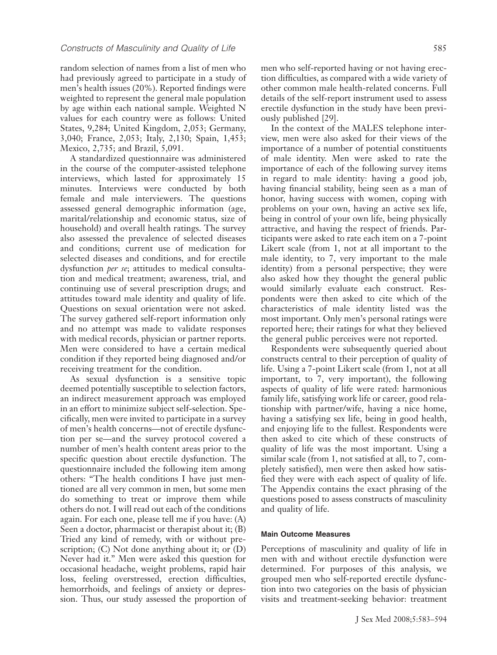random selection of names from a list of men who had previously agreed to participate in a study of men's health issues (20%). Reported findings were weighted to represent the general male population by age within each national sample. Weighted N values for each country were as follows: United States, 9,284; United Kingdom, 2,053; Germany, 3,040; France, 2,053; Italy, 2,130; Spain, 1,453; Mexico, 2,735; and Brazil, 5,091.

A standardized questionnaire was administered in the course of the computer-assisted telephone interviews, which lasted for approximately 15 minutes. Interviews were conducted by both female and male interviewers. The questions assessed general demographic information (age, marital/relationship and economic status, size of household) and overall health ratings. The survey also assessed the prevalence of selected diseases and conditions; current use of medication for selected diseases and conditions, and for erectile dysfunction *per se*; attitudes to medical consultation and medical treatment; awareness, trial, and continuing use of several prescription drugs; and attitudes toward male identity and quality of life. Questions on sexual orientation were not asked. The survey gathered self-report information only and no attempt was made to validate responses with medical records, physician or partner reports. Men were considered to have a certain medical condition if they reported being diagnosed and/or receiving treatment for the condition.

As sexual dysfunction is a sensitive topic deemed potentially susceptible to selection factors, an indirect measurement approach was employed in an effort to minimize subject self-selection. Specifically, men were invited to participate in a survey of men's health concerns—not of erectile dysfunction per se—and the survey protocol covered a number of men's health content areas prior to the specific question about erectile dysfunction. The questionnaire included the following item among others: "The health conditions I have just mentioned are all very common in men, but some men do something to treat or improve them while others do not. I will read out each of the conditions again. For each one, please tell me if you have: (A) Seen a doctor, pharmacist or therapist about it; (B) Tried any kind of remedy, with or without prescription; (C) Not done anything about it; or (D) Never had it." Men were asked this question for occasional headache, weight problems, rapid hair loss, feeling overstressed, erection difficulties, hemorrhoids, and feelings of anxiety or depression. Thus, our study assessed the proportion of men who self-reported having or not having erection difficulties, as compared with a wide variety of other common male health-related concerns. Full details of the self-report instrument used to assess erectile dysfunction in the study have been previously published [29].

In the context of the MALES telephone interview, men were also asked for their views of the importance of a number of potential constituents of male identity. Men were asked to rate the importance of each of the following survey items in regard to male identity: having a good job, having financial stability, being seen as a man of honor, having success with women, coping with problems on your own, having an active sex life, being in control of your own life, being physically attractive, and having the respect of friends. Participants were asked to rate each item on a 7-point Likert scale (from 1, not at all important to the male identity, to 7, very important to the male identity) from a personal perspective; they were also asked how they thought the general public would similarly evaluate each construct. Respondents were then asked to cite which of the characteristics of male identity listed was the most important. Only men's personal ratings were reported here; their ratings for what they believed the general public perceives were not reported.

Respondents were subsequently queried about constructs central to their perception of quality of life. Using a 7-point Likert scale (from 1, not at all important, to 7, very important), the following aspects of quality of life were rated: harmonious family life, satisfying work life or career, good relationship with partner/wife, having a nice home, having a satisfying sex life, being in good health, and enjoying life to the fullest. Respondents were then asked to cite which of these constructs of quality of life was the most important. Using a similar scale (from 1, not satisfied at all, to 7, completely satisfied), men were then asked how satisfied they were with each aspect of quality of life. The Appendix contains the exact phrasing of the questions posed to assess constructs of masculinity and quality of life.

#### **Main Outcome Measures**

Perceptions of masculinity and quality of life in men with and without erectile dysfunction were determined. For purposes of this analysis, we grouped men who self-reported erectile dysfunction into two categories on the basis of physician visits and treatment-seeking behavior: treatment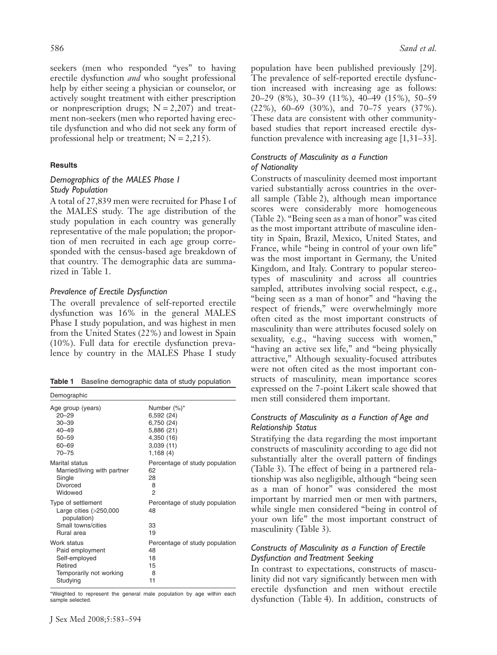seekers (men who responded "yes" to having erectile dysfunction *and* who sought professional help by either seeing a physician or counselor, or actively sought treatment with either prescription or nonprescription drugs;  $N = 2,207$  and treatment non-seekers (men who reported having erectile dysfunction and who did not seek any form of professional help or treatment;  $N = 2,215$ .

# **Results**

# *Demographics of the MALES Phase I Study Population*

A total of 27,839 men were recruited for Phase I of the MALES study. The age distribution of the study population in each country was generally representative of the male population; the proportion of men recruited in each age group corresponded with the census-based age breakdown of that country. The demographic data are summarized in Table 1.

# *Prevalence of Erectile Dysfunction*

The overall prevalence of self-reported erectile dysfunction was 16% in the general MALES Phase I study population, and was highest in men from the United States (22%) and lowest in Spain (10%). Full data for erectile dysfunction prevalence by country in the MALES Phase I study

|  |  | <b>Table 1</b> Baseline demographic data of study population |  |  |  |
|--|--|--------------------------------------------------------------|--|--|--|
|--|--|--------------------------------------------------------------|--|--|--|

| Demographic                                                                                     |                                                  |
|-------------------------------------------------------------------------------------------------|--------------------------------------------------|
| Age group (years)                                                                               | Number (%)*                                      |
| $20 - 29$                                                                                       | 6,592 (24)                                       |
| $30 - 39$                                                                                       | 6,750 (24)                                       |
| $40 - 49$                                                                                       | 5,886 (21)                                       |
| $50 - 59$                                                                                       | 4,350 (16)                                       |
| 60-69                                                                                           | 3,039(11)                                        |
| $70 - 75$                                                                                       | 1,168(4)                                         |
| Marital status                                                                                  | Percentage of study population                   |
| Married/living with partner                                                                     | 62                                               |
| Single                                                                                          | 28                                               |
| Divorced                                                                                        | 8                                                |
| Widowed                                                                                         | 2                                                |
| Type of settlement<br>Large cities (>250,000<br>population)<br>Small towns/cities<br>Rural area | Percentage of study population<br>48<br>33<br>19 |
| Work status                                                                                     | Percentage of study population                   |
| Paid employment                                                                                 | 48                                               |
| Self-employed                                                                                   | 18                                               |
| Retired                                                                                         | 15                                               |
| Temporarily not working                                                                         | 8                                                |
| Studying                                                                                        | 11                                               |

\*Weighted to represent the general male population by age within each sample selected.

population have been published previously [29]. The prevalence of self-reported erectile dysfunction increased with increasing age as follows: 20–29 (8%), 30–39 (11%), 40–49 (15%), 50–59 (22%), 60–69 (30%), and 70–75 years (37%). These data are consistent with other communitybased studies that report increased erectile dysfunction prevalence with increasing age [1,31–33].

# *Constructs of Masculinity as a Function of Nationality*

Constructs of masculinity deemed most important varied substantially across countries in the overall sample (Table 2), although mean importance scores were considerably more homogeneous (Table 2). "Being seen as a man of honor" was cited as the most important attribute of masculine identity in Spain, Brazil, Mexico, United States, and France, while "being in control of your own life" was the most important in Germany, the United Kingdom, and Italy. Contrary to popular stereotypes of masculinity and across all countries sampled, attributes involving social respect, e.g., "being seen as a man of honor" and "having the respect of friends," were overwhelmingly more often cited as the most important constructs of masculinity than were attributes focused solely on sexuality, e.g., "having success with women," "having an active sex life," and "being physically attractive," Although sexuality-focused attributes were not often cited as the most important constructs of masculinity, mean importance scores expressed on the 7-point Likert scale showed that men still considered them important.

# *Constructs of Masculinity as a Function of Age and Relationship Status*

Stratifying the data regarding the most important constructs of masculinity according to age did not substantially alter the overall pattern of findings (Table 3). The effect of being in a partnered relationship was also negligible, although "being seen as a man of honor" was considered the most important by married men or men with partners, while single men considered "being in control of your own life" the most important construct of masculinity (Table 3).

# *Constructs of Masculinity as a Function of Erectile Dysfunction and Treatment Seeking*

In contrast to expectations, constructs of masculinity did not vary significantly between men with erectile dysfunction and men without erectile dysfunction (Table 4). In addition, constructs of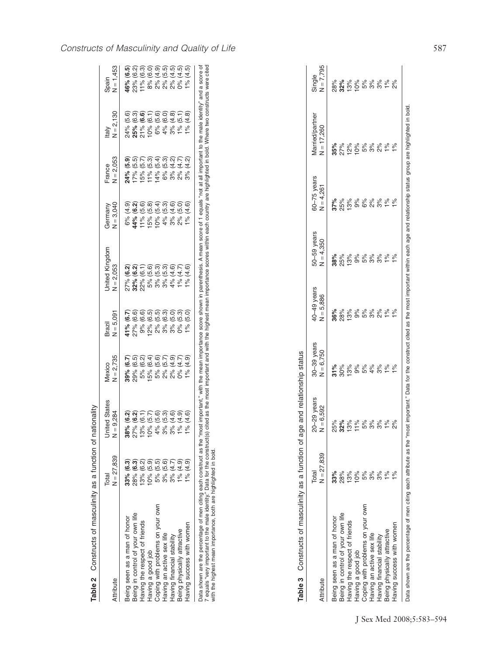| Attribute                                                         | $N = 27.839$<br>Total     | <b>Jnited States</b><br>$N = 9.284$        | $N = 2,735$<br>Vlexico                                                                                                                                                                                                                                                                                                                                                                                                                                                                                                                                     | Brazil<br>N = 5,091                               | <b>Jnited Kingdom</b><br>$V = 2,053$                                                                                                                       | Germany<br>N = 3,040                                                                                            | France<br>N = 2.053                                                                        | Italy<br>N = 2,130                                                                                   | Spain<br>N = 1,453                                                                                   |
|-------------------------------------------------------------------|---------------------------|--------------------------------------------|------------------------------------------------------------------------------------------------------------------------------------------------------------------------------------------------------------------------------------------------------------------------------------------------------------------------------------------------------------------------------------------------------------------------------------------------------------------------------------------------------------------------------------------------------------|---------------------------------------------------|------------------------------------------------------------------------------------------------------------------------------------------------------------|-----------------------------------------------------------------------------------------------------------------|--------------------------------------------------------------------------------------------|------------------------------------------------------------------------------------------------------|------------------------------------------------------------------------------------------------------|
| Being in control of your own life<br>Being seen as a man of honor | 33% (6.3)<br>(6.3)<br>28% |                                            | $\begin{array}{l} \mathbf{398} \textcolor{red}{\otimes} \textcolor{red}{8.7} \textcolor{red}{\otimes} \textcolor{red}{9.8} \textcolor{red}{\otimes} \textcolor{red}{\otimes} \textcolor{red}{\otimes} \textcolor{red}{\otimes} \textcolor{red}{\otimes} \textcolor{red}{\otimes} \textcolor{red}{\otimes} \textcolor{red}{\otimes} \textcolor{red}{\otimes} \textcolor{red}{\otimes} \textcolor{red}{\otimes} \textcolor{red}{\otimes} \textcolor{red}{\otimes} \textcolor{red}{\otimes} \textcolor{red}{\otimes} \textcolor{red}{\otimes} \textcolor{red$ | 6 6 6 6 6 6 6 6 6 6<br><b>ປ</b> ີຣ໌ 6 6 6 6 6 6 6 | <b>ด์ด</b> ์ดิติตัติย์4์<br><b>ตู่ย</b> ้องยังยะ                                                                                                           | ବି <b>ଦ୍</b> ତିଷ୍ଟି ବିତ୍ତି ଓ<br>କୁ <b>ଦ୍</b> ତିଷ୍ଟି ବିତ୍ତି<br>8 8 8 8 8 8 8 8 8<br>6 <del>1</del> 5 5 9 8 8 8 8 | อิธยัดจับอัส 4<br><b>อ</b> ัยยัง 4 ยังยับ<br>8<br>8 8 8 8 8 8 8 8 8<br>8 1 1 1 1 0 0 0 0 0 | စ်ပွဲ <b>စ်</b> မှ စ် မှ စွဲ မှ မှ စ<br>ဗွဲ <b>စ် ဓ်</b> မှ စ် ခို မှ မှ မ<br>8<br>888888888<br>8870 | <b>ច</b> ិត្តត្តុ<br><b>ចុ</b> ប្រួម ប្រួម ប្រួ<br><b>\$</b><br>\$\$\$\$\$\$\$\$\$<br>\$R#\$\$\$\$\$ |
| laving the respect of friends                                     | (6.2)<br>$0\%$<br>13%     | ଡ଼ ଜ୍ୟାଚାର୍ଡ୍ ଓଡ଼<br><b>ଓଡ଼ି</b> ବିଜ୍ଞାନ ଦ |                                                                                                                                                                                                                                                                                                                                                                                                                                                                                                                                                            |                                                   |                                                                                                                                                            |                                                                                                                 |                                                                                            |                                                                                                      |                                                                                                      |
| Coping with problems on your own<br>Having a good job             | (5.9)<br>$5%$ $(5.5)$     |                                            |                                                                                                                                                                                                                                                                                                                                                                                                                                                                                                                                                            |                                                   |                                                                                                                                                            |                                                                                                                 |                                                                                            |                                                                                                      |                                                                                                      |
| laving an active sex life                                         | 3% (5.6)                  |                                            |                                                                                                                                                                                                                                                                                                                                                                                                                                                                                                                                                            |                                                   |                                                                                                                                                            |                                                                                                                 |                                                                                            |                                                                                                      |                                                                                                      |
| laving financial stability                                        | 3% (4.7)                  |                                            |                                                                                                                                                                                                                                                                                                                                                                                                                                                                                                                                                            |                                                   |                                                                                                                                                            |                                                                                                                 |                                                                                            |                                                                                                      |                                                                                                      |
| Being physically attractive                                       | $1\% (4.9)$               |                                            |                                                                                                                                                                                                                                                                                                                                                                                                                                                                                                                                                            |                                                   |                                                                                                                                                            |                                                                                                                 |                                                                                            |                                                                                                      |                                                                                                      |
| Having success with women                                         | $1\% (4.9)$               | (4.6)                                      |                                                                                                                                                                                                                                                                                                                                                                                                                                                                                                                                                            |                                                   | (4.6)                                                                                                                                                      |                                                                                                                 |                                                                                            |                                                                                                      |                                                                                                      |
| Data shown are the percentage of men citing each construct as the |                           |                                            |                                                                                                                                                                                                                                                                                                                                                                                                                                                                                                                                                            |                                                   | "most important," with the mean importance score shown in parenthesis. A mean score of 1 equals "not at all important to the male identity" and a score of |                                                                                                                 |                                                                                            |                                                                                                      |                                                                                                      |

| į                    |
|----------------------|
| ï                    |
|                      |
|                      |
| .<br>ಡ               |
| $\sim$ $\sim$ $\sim$ |
|                      |
| $\overline{1}$       |
| I                    |
|                      |
|                      |

7 equals "very important to the male identity." Data for the construct(s) cited as the most important and with the highest mean importance scores within each country are highlighted in bold. Where two constructs were cited with the highest mean importance, both are highlighted in bold.

|                                   |                       | )                              |                            |                                     |                            |                                |                                                    |                     |
|-----------------------------------|-----------------------|--------------------------------|----------------------------|-------------------------------------|----------------------------|--------------------------------|----------------------------------------------------|---------------------|
| Attribute                         | $N = 27,839$<br>Total | $20 - 29$ years<br>$N = 6,592$ | 30-39 years<br>$V = 6,750$ | $40 - 49$ years<br>N = 5,886        | 50-59 years<br>$N = 4,350$ | $60 - 75$ years<br>$N = 4,261$ | Vlarried/partner<br>$N = 17,260$                   | Single<br>N = 7,795 |
| Being seen as a man of honor      | 33%                   |                                |                            |                                     |                            |                                |                                                    |                     |
| Being in control of your own life | 28%                   | 88882<br>8827                  | **********<br>*********    | <b>8</b><br>8888888888<br>889988888 |                            |                                | <b>\$\$</b><br>\$\$\$\$\$\$\$\$<br>\$P\$\$\$\$\$\$ |                     |
| Having the respect of friends     | $13\%$                |                                |                            |                                     |                            |                                |                                                    |                     |
| Having a good job                 | 10%                   |                                |                            |                                     |                            |                                |                                                    |                     |
| Coping with problems on your own  | 5%                    |                                |                            |                                     |                            |                                |                                                    |                     |
| Having an active sex life         | ೫                     |                                |                            |                                     |                            |                                |                                                    |                     |
| Having financial stability        | 3%                    | <u>సినిని</u>                  |                            |                                     |                            |                                |                                                    |                     |
| Being physically attractive       | 1%                    |                                |                            |                                     |                            |                                |                                                    |                     |
| Having success with women         | ें                    | $\frac{8}{90}$                 |                            |                                     |                            |                                |                                                    |                     |
|                                   |                       |                                |                            |                                     |                            |                                |                                                    |                     |
|                                   |                       |                                |                            |                                     |                            |                                |                                                    |                     |

Table 3 Constructs of masculinity as a function of age and relationship status **Table 3** Constructs of masculinity as a function of age and relationship status Data shown are the percentage of men citing each attribute as the "most important." Data for the construct cited as the most important within each age and relationship status group are highlighted in bold. Data shown are the percentage of men citing each attribute as the "most important." Data for the construct cited as the most important within each age and relationship status group are highlighted in bold.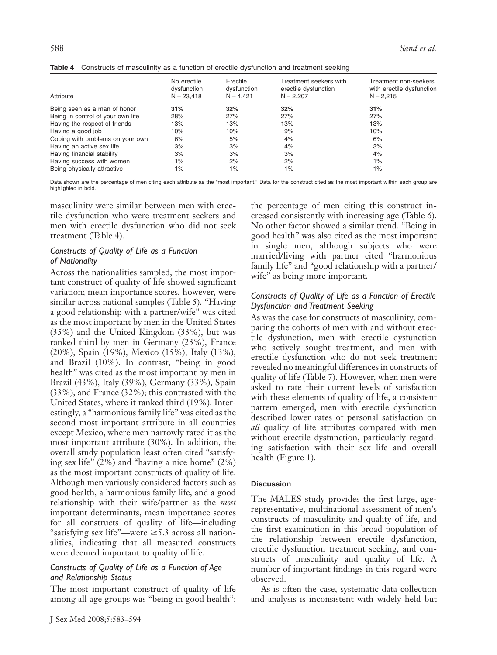|  | Table 4 Constructs of masculinity as a function of erectile dysfunction and treatment seeking |  |  |  |  |  |  |  |
|--|-----------------------------------------------------------------------------------------------|--|--|--|--|--|--|--|
|--|-----------------------------------------------------------------------------------------------|--|--|--|--|--|--|--|

| Attribute                         | No erectile<br>dysfunction<br>$N = 23,418$ | Erectile<br>dysfunction<br>$N = 4.421$ | Treatment seekers with<br>erectile dysfunction<br>$N = 2.207$ | Treatment non-seekers<br>with erectile dysfunction<br>$N = 2,215$ |
|-----------------------------------|--------------------------------------------|----------------------------------------|---------------------------------------------------------------|-------------------------------------------------------------------|
| Being seen as a man of honor      | 31%                                        | 32%                                    | 32%                                                           | 31%                                                               |
| Being in control of your own life | 28%                                        | 27%                                    | 27%                                                           | 27%                                                               |
| Having the respect of friends     | 13%                                        | 13%                                    | 13%                                                           | 13%                                                               |
| Having a good job                 | 10%                                        | 10%                                    | 9%                                                            | 10%                                                               |
| Coping with problems on your own  | 6%                                         | 5%                                     | 4%                                                            | 6%                                                                |
| Having an active sex life         | 3%                                         | 3%                                     | 4%                                                            | 3%                                                                |
| Having financial stability        | 3%                                         | 3%                                     | 3%                                                            | 4%                                                                |
| Having success with women         | $1\%$                                      | 2%                                     | 2%                                                            | $1\%$                                                             |
| Being physically attractive       | $1\%$                                      | 1%                                     | $1\%$                                                         | $1\%$                                                             |

Data shown are the percentage of men citing each attribute as the "most important." Data for the construct cited as the most important within each group are highlighted in bold.

masculinity were similar between men with erectile dysfunction who were treatment seekers and men with erectile dysfunction who did not seek treatment (Table 4).

# *Constructs of Quality of Life as a Function of Nationality*

Across the nationalities sampled, the most important construct of quality of life showed significant variation; mean importance scores, however, were similar across national samples (Table 5). "Having a good relationship with a partner/wife" was cited as the most important by men in the United States (35%) and the United Kingdom (33%), but was ranked third by men in Germany (23%), France (20%), Spain (19%), Mexico (15%), Italy (13%), and Brazil (10%). In contrast, "being in good health" was cited as the most important by men in Brazil (43%), Italy (39%), Germany (33%), Spain (33%), and France (32%); this contrasted with the United States, where it ranked third (19%). Interestingly, a "harmonious family life" was cited as the second most important attribute in all countries except Mexico, where men narrowly rated it as the most important attribute (30%). In addition, the overall study population least often cited "satisfying sex life" (2%) and "having a nice home" (2%) as the most important constructs of quality of life. Although men variously considered factors such as good health, a harmonious family life, and a good relationship with their wife/partner as the *most* important determinants, mean importance scores for all constructs of quality of life—including "satisfying sex life"—were  $\geq 5.3$  across all nationalities, indicating that all measured constructs were deemed important to quality of life.

# *Constructs of Quality of Life as a Function of Age and Relationship Status*

The most important construct of quality of life among all age groups was "being in good health";

the percentage of men citing this construct increased consistently with increasing age (Table 6). No other factor showed a similar trend. "Being in good health" was also cited as the most important in single men, although subjects who were married/living with partner cited "harmonious family life" and "good relationship with a partner/ wife" as being more important.

# *Constructs of Quality of Life as a Function of Erectile Dysfunction and Treatment Seeking*

As was the case for constructs of masculinity, comparing the cohorts of men with and without erectile dysfunction, men with erectile dysfunction who actively sought treatment, and men with erectile dysfunction who do not seek treatment revealed no meaningful differences in constructs of quality of life (Table 7). However, when men were asked to rate their current levels of satisfaction with these elements of quality of life, a consistent pattern emerged; men with erectile dysfunction described lower rates of personal satisfaction on *all* quality of life attributes compared with men without erectile dysfunction, particularly regarding satisfaction with their sex life and overall health (Figure 1).

### **Discussion**

The MALES study provides the first large, agerepresentative, multinational assessment of men's constructs of masculinity and quality of life, and the first examination in this broad population of the relationship between erectile dysfunction, erectile dysfunction treatment seeking, and constructs of masculinity and quality of life. A number of important findings in this regard were observed.

As is often the case, systematic data collection and analysis is inconsistent with widely held but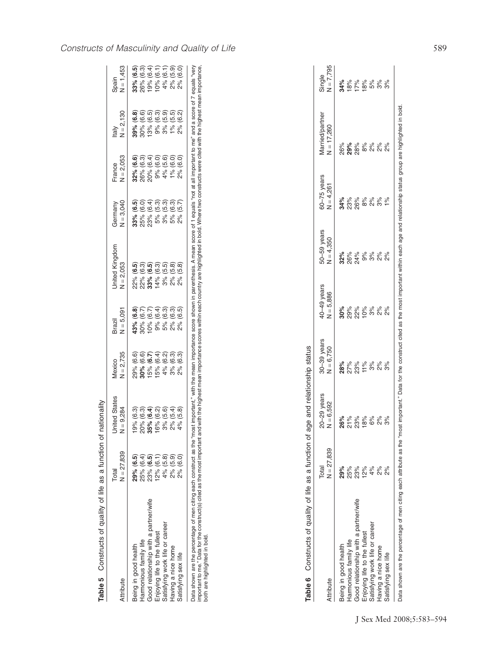| dexico<br><b>Jnited States</b> | Brazil                                 | <b>Jnited Kingdom</b>                                                |                                                                                                       |                                                                                                                    |                                                                               |                                                                     |
|--------------------------------|----------------------------------------|----------------------------------------------------------------------|-------------------------------------------------------------------------------------------------------|--------------------------------------------------------------------------------------------------------------------|-------------------------------------------------------------------------------|---------------------------------------------------------------------|
| $N = 2,735$                    | $V = 5,091$                            | $N = 2,053$                                                          | Germany<br>N = 3,040                                                                                  | France<br>N = 2,053                                                                                                | Italy<br>N = 2,130                                                            | Spain<br>N = 1,453                                                  |
|                                |                                        |                                                                      |                                                                                                       |                                                                                                                    |                                                                               |                                                                     |
|                                |                                        |                                                                      |                                                                                                       |                                                                                                                    |                                                                               |                                                                     |
|                                |                                        |                                                                      |                                                                                                       |                                                                                                                    |                                                                               |                                                                     |
|                                |                                        |                                                                      |                                                                                                       |                                                                                                                    |                                                                               | <b>3</b><br>888888888<br>889004888                                  |
|                                |                                        |                                                                      |                                                                                                       |                                                                                                                    |                                                                               |                                                                     |
|                                |                                        |                                                                      |                                                                                                       |                                                                                                                    |                                                                               |                                                                     |
|                                |                                        |                                                                      |                                                                                                       |                                                                                                                    |                                                                               | <b>၉</b><br>ဇာတ်ခု မြင်းမို့ မြို့<br><b>မြ</b> ို့မြို့ မြို့မြို့ |
| 8<br>88888888<br>8855          | ଡ଼ି ଡ଼ା କୁ ଅ କୁ ଅ<br>ବୁ ବି ଅ କୁ ଅ କୁ ଅ | <b>ၜ</b> ၟၣၟၣၛၜၟၜ<br>ၜၟၣၣၣၛၜၜၟၜ<br>៖ ៖ ៖ ៖ ៖ ៖ ៖<br>អនុក្ខ ៖ ៖ ៖ ៖ ៖ | <b>េ</b><br><b>ច</b> ំចិត្តប្រិក្ខ<br>្ត<br>ក្តី ក្តី ក្តី ក្តី ក្តី<br>ក្តី ក្តី ក្តី ក្តី ក្តី ក្តី | <b>6</b> 6 6 6 6 6 6<br><b>6</b> 6 6 6 6 6 6<br>នុ<br><b>ភ្លុ</b> ក្ដី ភ្លុក ភ្លុក<br><b>ភ្លុ</b> ក្ដី ភ្លុក ភ្លុក | <b>၉</b><br>ဗီမံနှင်စဉ်ပ<br><b>၉</b><br>* * * * * * *<br><b>*</b> * * * * * * | <b>ြစ်</b><br>ထိုးစွဲ စွဲ စွဲ စွဲ စွဲ စွဲ                           |

Table 5 Constructs of quality of life as a function of nationality **Table 5** Constructs of quality of life as a function of nationality

important to me." Data for the construct(s) cited as the most important and with the highest mean importance scores within each country are highlighted in bold. Where two constructs were cited with the highest mean importa both are highlighted in bold.

| Table 6 Constructs of quality of life as a function               |                       | of age and relationship status |                              |                                              |                                       |                                        |                                                                                                                                             |                       |
|-------------------------------------------------------------------|-----------------------|--------------------------------|------------------------------|----------------------------------------------|---------------------------------------|----------------------------------------|---------------------------------------------------------------------------------------------------------------------------------------------|-----------------------|
| Attribute                                                         | $N = 27,839$<br>Total | $20 - 29$ years<br>$N = 6,592$ | $30-39$ years<br>$N = 6,750$ | 40-49 years<br>$N = 5,886$                   | $50 - 59$ years<br>$N = 4,350$        | $60 - 75$ years<br>$N = 4,261$         | Married/partner<br>$N = 17,260$                                                                                                             | $N = 7,795$<br>Single |
| Being in good health                                              | 29%                   |                                |                              |                                              |                                       |                                        |                                                                                                                                             |                       |
| Harmonious family life                                            |                       |                                |                              |                                              |                                       |                                        |                                                                                                                                             |                       |
| Good relationship with a partner/wife                             | ಹಿ<br>ನಿ ನಿ ನಿ<br>12% | <b>8</b><br>8288<br>8382       |                              |                                              |                                       |                                        |                                                                                                                                             |                       |
| Enjoying life to the fullest                                      |                       |                                |                              |                                              |                                       | * * * * *<br># m g ∞ a<br><b>#</b> m g |                                                                                                                                             |                       |
| Satisfying work life or career                                    | $4\%$                 | 6%                             |                              | <b>៖</b> ៖ ៖ ៖ ៖ ៖<br><b>ទ</b> ឹត្ត ដូ ១ ៖ ៖ | % % % % % %<br><b>ಇ</b> ಇ ಕೆ ಕೆ ಕೆ ನಿ |                                        |                                                                                                                                             |                       |
| Having a nice home                                                | $2\%$                 | 2%                             |                              |                                              |                                       | $3\%$                                  | % <b>%</b> % % % % %<br>೮ 8 ೫ ೫ ೫ ೫ ೫ ೫                                                                                                     |                       |
| Satisfying sex life                                               | $2\%$                 | ್ಗೆ                            |                              | $2\%$                                        | 2%                                    | $1\%$                                  |                                                                                                                                             |                       |
| Data shown are the percentage of men citing each attribute as the |                       |                                |                              |                                              |                                       |                                        | "most important." Data for the construct cited as the most important within each age and relationship status group are highlighted in bold. |                       |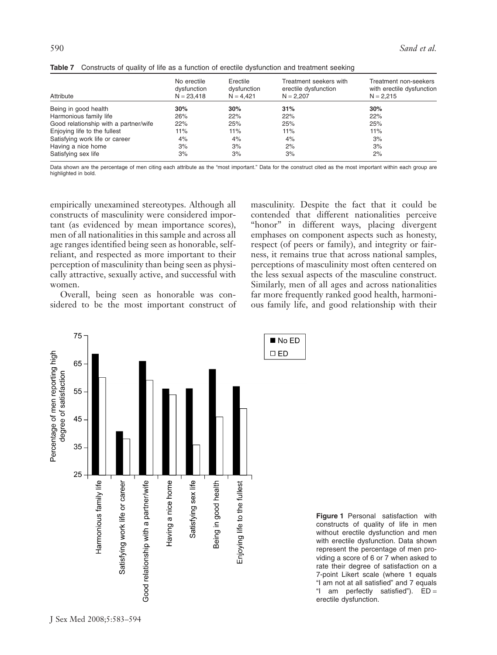| Attribute                             | No erectile<br>dysfunction<br>$N = 23.418$ | Erectile<br>dysfunction<br>$N = 4.421$ | Treatment seekers with<br>erectile dysfunction<br>$N = 2.207$ | Treatment non-seekers<br>with erectile dysfunction<br>$N = 2.215$ |
|---------------------------------------|--------------------------------------------|----------------------------------------|---------------------------------------------------------------|-------------------------------------------------------------------|
| Being in good health                  | 30%                                        | 30%                                    | 31%                                                           | 30%                                                               |
| Harmonious family life                | 26%                                        | 22%                                    | 22%                                                           | 22%                                                               |
| Good relationship with a partner/wife | 22%                                        | 25%                                    | 25%                                                           | 25%                                                               |
| Enjoying life to the fullest          | 11%                                        | 11%                                    | 11%                                                           | 11%                                                               |
| Satisfying work life or career        | 4%                                         | 4%                                     | 4%                                                            | 3%                                                                |
| Having a nice home                    | 3%                                         | 3%                                     | 2%                                                            | 3%                                                                |
| Satisfying sex life                   | 3%                                         | 3%                                     | 3%                                                            | 2%                                                                |

**Table 7** Constructs of quality of life as a function of erectile dysfunction and treatment seeking

Data shown are the percentage of men citing each attribute as the "most important." Data for the construct cited as the most important within each group are highlighted in bold.

empirically unexamined stereotypes. Although all constructs of masculinity were considered important (as evidenced by mean importance scores), men of all nationalities in this sample and across all age ranges identified being seen as honorable, selfreliant, and respected as more important to their perception of masculinity than being seen as physically attractive, sexually active, and successful with women.

Overall, being seen as honorable was considered to be the most important construct of masculinity. Despite the fact that it could be contended that different nationalities perceive "honor" in different ways, placing divergent emphases on component aspects such as honesty, respect (of peers or family), and integrity or fairness, it remains true that across national samples, perceptions of masculinity most often centered on the less sexual aspects of the masculine construct. Similarly, men of all ages and across nationalities far more frequently ranked good health, harmonious family life, and good relationship with their



**Figure 1** Personal satisfaction with constructs of quality of life in men without erectile dysfunction and men with erectile dysfunction. Data shown represent the percentage of men providing a score of 6 or 7 when asked to rate their degree of satisfaction on a 7-point Likert scale (where 1 equals "I am not at all satisfied" and 7 equals "I am perfectly satisfied"). ED = erectile dysfunction.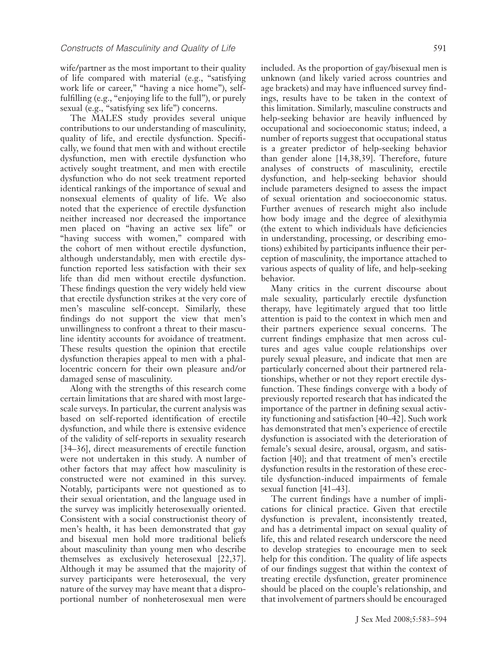wife/partner as the most important to their quality of life compared with material (e.g., "satisfying work life or career," "having a nice home"), selffulfilling (e.g., "enjoying life to the full"), or purely sexual (e.g., "satisfying sex life") concerns.

The MALES study provides several unique contributions to our understanding of masculinity, quality of life, and erectile dysfunction. Specifically, we found that men with and without erectile dysfunction, men with erectile dysfunction who actively sought treatment, and men with erectile dysfunction who do not seek treatment reported identical rankings of the importance of sexual and nonsexual elements of quality of life. We also noted that the experience of erectile dysfunction neither increased nor decreased the importance men placed on "having an active sex life" or "having success with women," compared with the cohort of men without erectile dysfunction, although understandably, men with erectile dysfunction reported less satisfaction with their sex life than did men without erectile dysfunction. These findings question the very widely held view that erectile dysfunction strikes at the very core of men's masculine self-concept. Similarly, these findings do not support the view that men's unwillingness to confront a threat to their masculine identity accounts for avoidance of treatment. These results question the opinion that erectile dysfunction therapies appeal to men with a phallocentric concern for their own pleasure and/or damaged sense of masculinity.

Along with the strengths of this research come certain limitations that are shared with most largescale surveys. In particular, the current analysis was based on self-reported identification of erectile dysfunction, and while there is extensive evidence of the validity of self-reports in sexuality research [34–36], direct measurements of erectile function were not undertaken in this study. A number of other factors that may affect how masculinity is constructed were not examined in this survey. Notably, participants were not questioned as to their sexual orientation, and the language used in the survey was implicitly heterosexually oriented. Consistent with a social constructionist theory of men's health, it has been demonstrated that gay and bisexual men hold more traditional beliefs about masculinity than young men who describe themselves as exclusively heterosexual [22,37]. Although it may be assumed that the majority of survey participants were heterosexual, the very nature of the survey may have meant that a disproportional number of nonheterosexual men were

included. As the proportion of gay/bisexual men is unknown (and likely varied across countries and age brackets) and may have influenced survey findings, results have to be taken in the context of this limitation. Similarly, masculine constructs and help-seeking behavior are heavily influenced by occupational and socioeconomic status; indeed, a number of reports suggest that occupational status is a greater predictor of help-seeking behavior than gender alone [14,38,39]. Therefore, future analyses of constructs of masculinity, erectile dysfunction, and help-seeking behavior should include parameters designed to assess the impact of sexual orientation and socioeconomic status. Further avenues of research might also include how body image and the degree of alexithymia (the extent to which individuals have deficiencies in understanding, processing, or describing emotions) exhibited by participants influence their perception of masculinity, the importance attached to various aspects of quality of life, and help-seeking behavior.

Many critics in the current discourse about male sexuality, particularly erectile dysfunction therapy, have legitimately argued that too little attention is paid to the context in which men and their partners experience sexual concerns. The current findings emphasize that men across cultures and ages value couple relationships over purely sexual pleasure, and indicate that men are particularly concerned about their partnered relationships, whether or not they report erectile dysfunction. These findings converge with a body of previously reported research that has indicated the importance of the partner in defining sexual activity functioning and satisfaction [40–42]. Such work has demonstrated that men's experience of erectile dysfunction is associated with the deterioration of female's sexual desire, arousal, orgasm, and satisfaction [40]; and that treatment of men's erectile dysfunction results in the restoration of these erectile dysfunction-induced impairments of female sexual function [41–43].

The current findings have a number of implications for clinical practice. Given that erectile dysfunction is prevalent, inconsistently treated, and has a detrimental impact on sexual quality of life, this and related research underscore the need to develop strategies to encourage men to seek help for this condition. The quality of life aspects of our findings suggest that within the context of treating erectile dysfunction, greater prominence should be placed on the couple's relationship, and that involvement of partners should be encouraged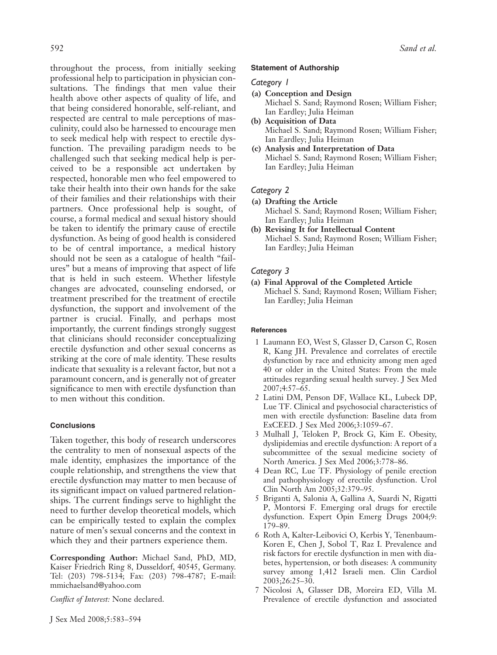throughout the process, from initially seeking professional help to participation in physician consultations. The findings that men value their health above other aspects of quality of life, and that being considered honorable, self-reliant, and respected are central to male perceptions of masculinity, could also be harnessed to encourage men to seek medical help with respect to erectile dysfunction. The prevailing paradigm needs to be challenged such that seeking medical help is perceived to be a responsible act undertaken by respected, honorable men who feel empowered to take their health into their own hands for the sake of their families and their relationships with their partners. Once professional help is sought, of course, a formal medical and sexual history should be taken to identify the primary cause of erectile dysfunction. As being of good health is considered to be of central importance, a medical history should not be seen as a catalogue of health "failures" but a means of improving that aspect of life that is held in such esteem. Whether lifestyle changes are advocated, counseling endorsed, or treatment prescribed for the treatment of erectile dysfunction, the support and involvement of the partner is crucial. Finally, and perhaps most importantly, the current findings strongly suggest that clinicians should reconsider conceptualizing erectile dysfunction and other sexual concerns as striking at the core of male identity. These results indicate that sexuality is a relevant factor, but not a paramount concern, and is generally not of greater significance to men with erectile dysfunction than to men without this condition.

# **Conclusions**

Taken together, this body of research underscores the centrality to men of nonsexual aspects of the male identity, emphasizes the importance of the couple relationship, and strengthens the view that erectile dysfunction may matter to men because of its significant impact on valued partnered relationships. The current findings serve to highlight the need to further develop theoretical models, which can be empirically tested to explain the complex nature of men's sexual concerns and the context in which they and their partners experience them.

**Corresponding Author:** Michael Sand, PhD, MD, Kaiser Friedrich Ring 8, Dusseldorf, 40545, Germany. Tel: (203) 798-5134; Fax: (203) 798-4787; E-mail: [mmichaelsand@yahoo.com](mailto:mmichaelsand@yahoo.com)

*Conflict of Interest:* None declared.

## **Statement of Authorship**

### *Category 1*

- **(a) Conception and Design** Michael S. Sand; Raymond Rosen; William Fisher; Ian Eardley; Julia Heiman
- **(b) Acquisition of Data** Michael S. Sand; Raymond Rosen; William Fisher; Ian Eardley; Julia Heiman
- **(c) Analysis and Interpretation of Data** Michael S. Sand; Raymond Rosen; William Fisher; Ian Eardley; Julia Heiman

## *Category 2*

- **(a) Drafting the Article**
	- Michael S. Sand; Raymond Rosen; William Fisher; Ian Eardley; Julia Heiman
- **(b) Revising It for Intellectual Content** Michael S. Sand; Raymond Rosen; William Fisher; Ian Eardley; Julia Heiman

## *Category 3*

**(a) Final Approval of the Completed Article** Michael S. Sand; Raymond Rosen; William Fisher; Ian Eardley; Julia Heiman

#### **References**

- 1 Laumann EO, West S, Glasser D, Carson C, Rosen R, Kang JH. Prevalence and correlates of erectile dysfunction by race and ethnicity among men aged 40 or older in the United States: From the male attitudes regarding sexual health survey. J Sex Med 2007;4:57–65.
- 2 Latini DM, Penson DF, Wallace KL, Lubeck DP, Lue TF. Clinical and psychosocial characteristics of men with erectile dysfunction: Baseline data from ExCEED. J Sex Med 2006;3:1059–67.
- 3 Mulhall J, Teloken P, Brock G, Kim E. Obesity, dyslipidemias and erectile dysfunction: A report of a subcommittee of the sexual medicine society of North America. J Sex Med 2006;3:778–86.
- 4 Dean RC, Lue TF. Physiology of penile erection and pathophysiology of erectile dysfunction. Urol Clin North Am 2005;32:379–95.
- 5 Briganti A, Salonia A, Gallina A, Suardi N, Rigatti P, Montorsi F. Emerging oral drugs for erectile dysfunction. Expert Opin Emerg Drugs 2004;9: 179–89.
- 6 Roth A, Kalter-Leibovici O, Kerbis Y, Tenenbaum-Koren E, Chen J, Sobol T, Raz I. Prevalence and risk factors for erectile dysfunction in men with diabetes, hypertension, or both diseases: A community survey among 1,412 Israeli men. Clin Cardiol 2003;26:25–30.
- 7 Nicolosi A, Glasser DB, Moreira ED, Villa M. Prevalence of erectile dysfunction and associated

592 *Sand et al.*

J Sex Med 2008;5:583–594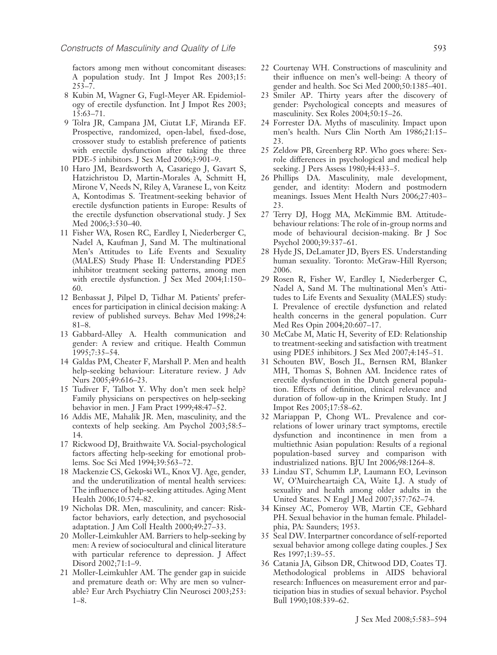factors among men without concomitant diseases: A population study. Int J Impot Res 2003;15: 253–7.

- 8 Kubin M, Wagner G, Fugl-Meyer AR. Epidemiology of erectile dysfunction. Int J Impot Res 2003; 15:63–71.
- 9 Tolra JR, Campana JM, Ciutat LF, Miranda EF. Prospective, randomized, open-label, fixed-dose, crossover study to establish preference of patients with erectile dysfunction after taking the three PDE-5 inhibitors. J Sex Med 2006;3:901–9.
- 10 Haro JM, Beardsworth A, Casariego J, Gavart S, Hatzichristou D, Martin-Morales A, Schmitt H, Mirone V, Needs N, Riley A, Varanese L, von Keitz A, Kontodimas S. Treatment-seeking behavior of erectile dysfunction patients in Europe: Results of the erectile dysfunction observational study. J Sex Med 2006;3:530–40.
- 11 Fisher WA, Rosen RC, Eardley I, Niederberger C, Nadel A, Kaufman J, Sand M. The multinational Men's Attitudes to Life Events and Sexuality (MALES) Study Phase II: Understanding PDE5 inhibitor treatment seeking patterns, among men with erectile dysfunction. J Sex Med 2004;1:150– 60.
- 12 Benbassat J, Pilpel D, Tidhar M. Patients' preferences for participation in clinical decision making: A review of published surveys. Behav Med 1998;24: 81–8.
- 13 Gabbard-Alley A. Health communication and gender: A review and critique. Health Commun 1995;7:35–54.
- 14 Galdas PM, Cheater F, Marshall P. Men and health help-seeking behaviour: Literature review. J Adv Nurs 2005;49:616–23.
- 15 Tudiver F, Talbot Y. Why don't men seek help? Family physicians on perspectives on help-seeking behavior in men. J Fam Pract 1999;48:47–52.
- 16 Addis ME, Mahalik JR. Men, masculinity, and the contexts of help seeking. Am Psychol 2003;58:5– 14.
- 17 Rickwood DJ, Braithwaite VA. Social-psychological factors affecting help-seeking for emotional problems. Soc Sci Med 1994;39:563–72.
- 18 Mackenzie CS, Gekoski WL, Knox VJ. Age, gender, and the underutilization of mental health services: The influence of help-seeking attitudes. Aging Ment Health 2006;10:574–82.
- 19 Nicholas DR. Men, masculinity, and cancer: Riskfactor behaviors, early detection, and psychosocial adaptation. J Am Coll Health 2000;49:27–33.
- 20 Moller-Leimkuhler AM. Barriers to help-seeking by men: A review of sociocultural and clinical literature with particular reference to depression. J Affect Disord 2002;71:1–9.
- 21 Moller-Leimkuhler AM. The gender gap in suicide and premature death or: Why are men so vulnerable? Eur Arch Psychiatry Clin Neurosci 2003;253: 1–8.
- 22 Courtenay WH. Constructions of masculinity and their influence on men's well-being: A theory of gender and health. Soc Sci Med 2000;50:1385–401.
- 23 Smiler AP. Thirty years after the discovery of gender: Psychological concepts and measures of masculinity. Sex Roles 2004;50:15–26.
- 24 Forrester DA. Myths of masculinity. Impact upon men's health. Nurs Clin North Am 1986;21:15– 23.
- 25 Zeldow PB, Greenberg RP. Who goes where: Sexrole differences in psychological and medical help seeking. J Pers Assess 1980; 44: 433 - 5.
- 26 Phillips DA. Masculinity, male development, gender, and identity: Modern and postmodern meanings. Issues Ment Health Nurs 2006;27:403– 23.
- 27 Terry DJ, Hogg MA, McKimmie BM. Attitudebehaviour relations: The role of in-group norms and mode of behavioural decision-making. Br J Soc Psychol 2000;39:337–61.
- 28 Hyde JS, DeLamater JD, Byers ES. Understanding human sexuality. Toronto: McGraw-Hill Ryerson; 2006.
- 29 Rosen R, Fisher W, Eardley I, Niederberger C, Nadel A, Sand M. The multinational Men's Attitudes to Life Events and Sexuality (MALES) study: I. Prevalence of erectile dysfunction and related health concerns in the general population. Curr Med Res Opin 2004;20:607–17.
- 30 McCabe M, Matic H, Severity of ED: Relationship to treatment-seeking and satisfaction with treatment using PDE5 inhibitors. J Sex Med 2007;4:145–51.
- 31 Schouten BW, Bosch JL, Bernsen RM, Blanker MH, Thomas S, Bohnen AM. Incidence rates of erectile dysfunction in the Dutch general population. Effects of definition, clinical relevance and duration of follow-up in the Krimpen Study. Int J Impot Res 2005;17:58–62.
- 32 Mariappan P, Chong WL. Prevalence and correlations of lower urinary tract symptoms, erectile dysfunction and incontinence in men from a multiethnic Asian population: Results of a regional population-based survey and comparison with industrialized nations. BJU Int 2006;98:1264–8.
- 33 Lindau ST, Schumm LP, Laumann EO, Levinson W, O'Muircheartaigh CA, Waite LJ. A study of sexuality and health among older adults in the United States. N Engl J Med 2007;357:762–74.
- 34 Kinsey AC, Pomeroy WB, Martin CE, Gebhard PH. Sexual behavior in the human female. Philadelphia, PA: Saunders; 1953.
- 35 Seal DW. Interpartner concordance of self-reported sexual behavior among college dating couples. J Sex Res 1997;1:39–55.
- 36 Catania JA, Gibson DR, Chitwood DD, Coates TJ. Methodological problems in AIDS behavioral research: Influences on measurement error and participation bias in studies of sexual behavior. Psychol Bull 1990;108:339–62.